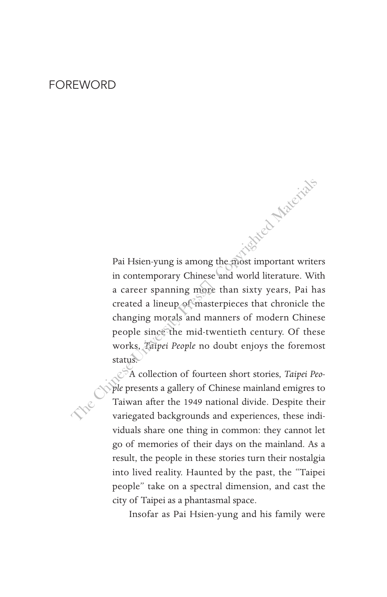## FOREWORD

Pai Hsien-yung is among the most important writers in contemporary Chinese and world literature. With a career spanning more than sixty years, Pai has created a lineup of masterpieces that chronicle the changing morals and manners of modern Chinese people since the mid-twentieth century. Of these works, *Taipei People* no doubt enjoys the foremost status. The Chinesials

A collection of fourteen short stories, *Taipei People* presents a gallery of Chinese mainland emigres to Taiwan after the 1949 national divide. Despite their variegated backgrounds and experiences, these individuals share one thing in common: they cannot let go of memories of their days on the mainland. As a result, the people in these stories turn their nostalgia into lived reality. Haunted by the past, the "Taipei people" take on a spectral dimension, and cast the city of Taipei as a phantasmal space.

Insofar as Pai Hsien-yung and his family were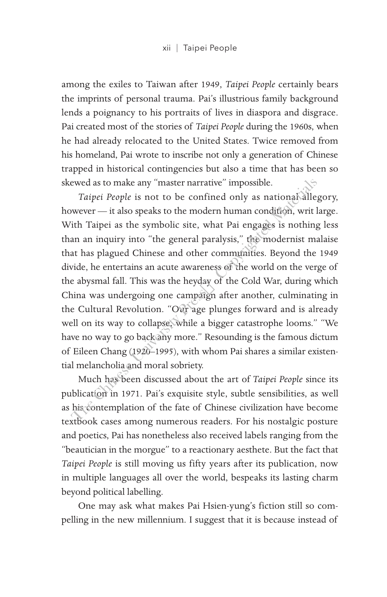among the exiles to Taiwan after 1949, *Taipei People* certainly bears the imprints of personal trauma. Pai's illustrious family background lends a poignancy to his portraits of lives in diaspora and disgrace. Pai created most of the stories of *Taipei People* during the 1960s, when he had already relocated to the United States. Twice removed from his homeland, Pai wrote to inscribe not only a generation of Chinese trapped in historical contingencies but also a time that has been so skewed as to make any "master narrative" impossible.

Taipei People is not to be confined only as national allegory, however — it also speaks to the modern human condition, writ large. With Taipei as the symbolic site, what Pai engages is nothing less than an inquiry into "the general paralysis," the modernist malaise that has plagued Chinese and other communities. Beyond the 1949 divide, he entertains an acute awareness of the world on the verge of the abysmal fall. This was the heyday of the Cold War, during which China was undergoing one campaign after another, culminating in the Cultural Revolution. "Our age plunges forward and is already well on its way to collapse, while a bigger catastrophe looms." "We have no way to go back any more." Resounding is the famous dictum of Eileen Chang (1920–1995), with whom Pai shares a similar existential melancholia and moral sobriety. ewed as to make any "master narrative" impossible.<br>
Taipei People is not to be confined only as national alle<br>
wever — it also speaks to the modern human condition, writ lith<br>
Taipei as the symbolic site, what Pai engages

Much has been discussed about the art of *Taipei People* since its publication in 1971. Pai's exquisite style, subtle sensibilities, as well as his contemplation of the fate of Chinese civilization have become textbook cases among numerous readers. For his nostalgic posture and poetics, Pai has nonetheless also received labels ranging from the "beautician in the morgue" to a reactionary aesthete. But the fact that *Taipei People* is still moving us fifty years after its publication, now in multiple languages all over the world, bespeaks its lasting charm beyond political labelling.

One may ask what makes Pai Hsien-yung's fiction still so compelling in the new millennium. I suggest that it is because instead of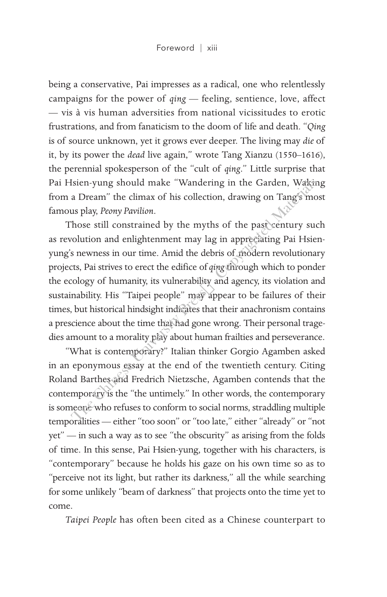being a conservative, Pai impresses as a radical, one who relentlessly campaigns for the power of *qing* — feeling, sentience, love, affect — vis à vis human adversities from national vicissitudes to erotic frustrations, and from fanaticism to the doom of life and death. "*Qing* is of source unknown, yet it grows ever deeper. The living may *die* of it, by its power the *dead* live again," wrote Tang Xianzu (1550–1616), the perennial spokesperson of the "cult of *qing*." Little surprise that Pai Hsien-yung should make "Wandering in the Garden, Waking from a Dream" the climax of his collection, drawing on Tang's most famous play, *Peony Pavilion*.

Those still constrained by the myths of the past century such as revolution and enlightenment may lag in appreciating Pai Hsienyung's newness in our time. Amid the debris of modern revolutionary projects, Pai strives to erect the edifice of *qing* through which to ponder the ecology of humanity, its vulnerability and agency, its violation and sustainability. His "Taipei people" may appear to be failures of their times, but historical hindsight indicates that their anachronism contains a prescience about the time that had gone wrong. Their personal tragedies amount to a morality play about human frailties and perseverance. Isien-yung should make "Wandering in the Garden, Wakir<br>a Dream" the climax of his collection, drawing on Tang's mo<br>us play, *Peony Pavilion*.<br>Those still constrained by the myths of the past century sue<br>olution and enligh

"What is contemporary?" Italian thinker Gorgio Agamben asked in an eponymous essay at the end of the twentieth century. Citing Roland Barthes and Fredrich Nietzsche, Agamben contends that the contemporary is the "the untimely." In other words, the contemporary is someone who refuses to conform to social norms, straddling multiple temporalities — either "too soon" or "too late," either "already" or "not yet" — in such a way as to see "the obscurity" as arising from the folds of time. In this sense, Pai Hsien-yung, together with his characters, is "contemporary" because he holds his gaze on his own time so as to "perceive not its light, but rather its darkness," all the while searching for some unlikely "beam of darkness" that projects onto the time yet to come.

*Taipei People* has often been cited as a Chinese counterpart to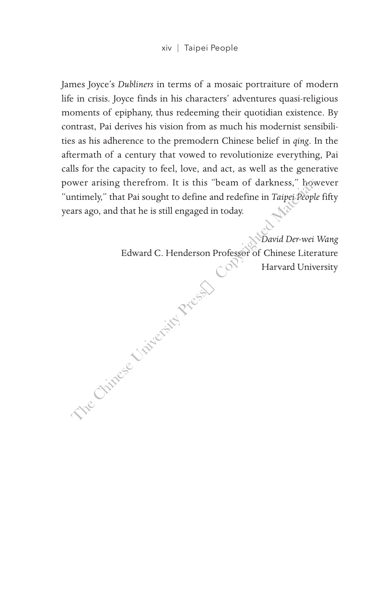James Joyce's *Dubliners* in terms of a mosaic portraiture of modern life in crisis. Joyce finds in his characters' adventures quasi-religious moments of epiphany, thus redeeming their quotidian existence. By contrast, Pai derives his vision from as much his modernist sensibilities as his adherence to the premodern Chinese belief in *qing*. In the aftermath of a century that vowed to revolutionize everything, Pai calls for the capacity to feel, love, and act, as well as the generative power arising therefrom. It is this "beam of darkness," however "untimely," that Pai sought to define and redefine in *Taipei People* fifty years ago, and that he is still engaged in today. wer arising therefrom. It is this "beam of darkness," how<br>ntimely," that Pai sought to define and redefine in *Taipei.Reoplars*<br>ago, and that he is still engaged in today.<br>Edward C. Henderson Professor of Chinese Liter<br>Har

*David Der-wei Wang* Edward C. Henderson Professor of Chinese Literature Harvard University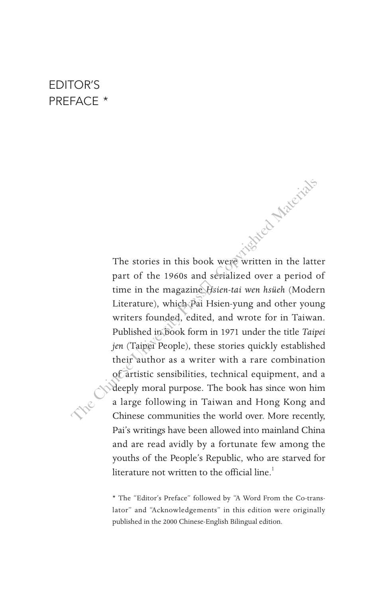## EDITOR'S PREFACE \*

The stories in this book were written in the latter part of the 1960s and serialized over a period of time in the magazine *Hsien-tai wen hsüeh* (Modern Literature), which Pai Hsien-yung and other young writers founded, edited, and wrote for in Taiwan. Published in book form in 1971 under the title *Taipei jen* (Taipei People), these stories quickly established their author as a writer with a rare combination of artistic sensibilities, technical equipment, and a deeply moral purpose. The book has since won him a large following in Taiwan and Hong Kong and Chinese communities the world over. More recently, Pai's writings have been allowed into mainland China and are read avidly by a fortunate few among the youths of the People's Republic, who are starved for literature not written to the official line.<sup>1</sup> The Childrenials

\* The "Editor's Preface" followed by "A Word From the Co-translator" and "Acknowledgements" in this edition were originally published in the 2000 Chinese-English Bilingual edition.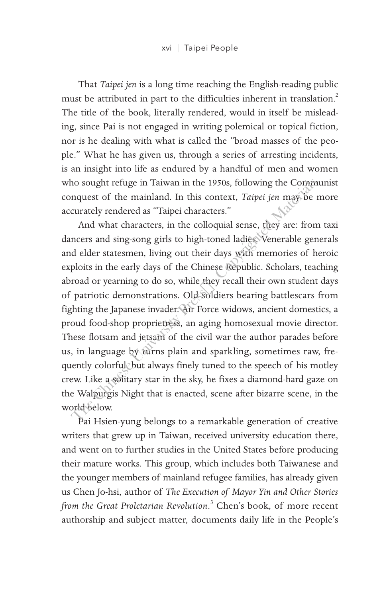That *Taipei jen* is a long time reaching the English-reading public must be attributed in part to the difficulties inherent in translation.<sup>2</sup> The title of the book, literally rendered, would in itself be misleading, since Pai is not engaged in writing polemical or topical fiction, nor is he dealing with what is called the "broad masses of the people." What he has given us, through a series of arresting incidents, is an insight into life as endured by a handful of men and women who sought refuge in Taiwan in the 1950s, following the Communist conquest of the mainland. In this context, *Taipei jen* may be more accurately rendered as "Taipei characters."

And what characters, in the colloquial sense, they are: from taxi dancers and sing-song girls to high-toned ladies. Venerable generals and elder statesmen, living out their days with memories of heroic exploits in the early days of the Chinese Republic. Scholars, teaching abroad or yearning to do so, while they recall their own student days of patriotic demonstrations. Old soldiers bearing battlescars from fighting the Japanese invader. Air Force widows, ancient domestics, a proud food-shop proprietress, an aging homosexual movie director. These flotsam and jetsam of the civil war the author parades before us, in language by turns plain and sparkling, sometimes raw, frequently colorful but always finely tuned to the speech of his motley crew. Like a solitary star in the sky, he fixes a diamond-hard gaze on the Walpurgis Night that is enacted, scene after bizarre scene, in the world below. no sought refuge in Taiwan in the 1950s, following the Comman<br>mquest of the mainland. In this context, *Taipei jen* may be curately rendered as "Taipei characters."<br>And what characters, in the colloquial sense, they are: f

Pai Hsien-yung belongs to a remarkable generation of creative writers that grew up in Taiwan, received university education there, and went on to further studies in the United States before producing their mature works. This group, which includes both Taiwanese and the younger members of mainland refugee families, has already given us Chen Jo-hsi, author of *The Execution of Mayor Yin and Other Stories from the Great Proletarian Revolution*. 3 Chen's book, of more recent authorship and subject matter, documents daily life in the People's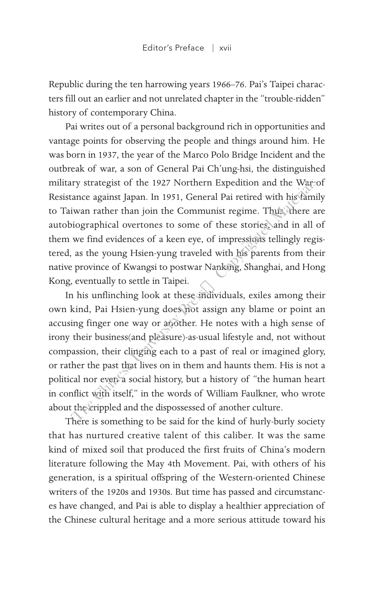Republic during the ten harrowing years 1966–76. Pai's Taipei characters fill out an earlier and not unrelated chapter in the "trouble-ridden" history of contemporary China.

Pai writes out of a personal background rich in opportunities and vantage points for observing the people and things around him. He was born in 1937, the year of the Marco Polo Bridge Incident and the outbreak of war, a son of General Pai Ch'ung-hsi, the distinguished military strategist of the 1927 Northern Expedition and the War of Resistance against Japan. In 1951, General Pai retired with his family to Taiwan rather than join the Communist regime. Thus, there are autobiographical overtones to some of these stories, and in all of them we find evidences of a keen eye, of impressions tellingly registered, as the young Hsien-yung traveled with his parents from their native province of Kwangsi to postwar Nanking, Shanghai, and Hong Kong, eventually to settle in Taipei.

In his unflinching look at these individuals, exiles among their own kind, Pai Hsien-yung does not assign any blame or point an accusing finger one way or another. He notes with a high sense of irony their business(and pleasure)-as-usual lifestyle and, not without compassion, their clinging each to a past of real or imagined glory, or rather the past that lives on in them and haunts them. His is not a political nor even a social history, but a history of "the human heart in conflict with itself," in the words of William Faulkner, who wrote about the crippled and the dispossessed of another culture. Internal Strategist of the 1927 Northern Expedition and the Waterlance against Japan. In 1951, General Pai retired with his family wan rather than join the Communist regime. Thus, there a biographical overtones to some of

There is something to be said for the kind of hurly-burly society that has nurtured creative talent of this caliber. It was the same kind of mixed soil that produced the first fruits of China's modern literature following the May 4th Movement. Pai, with others of his generation, is a spiritual offspring of the Western-oriented Chinese writers of the 1920s and 1930s. But time has passed and circumstances have changed, and Pai is able to display a healthier appreciation of the Chinese cultural heritage and a more serious attitude toward his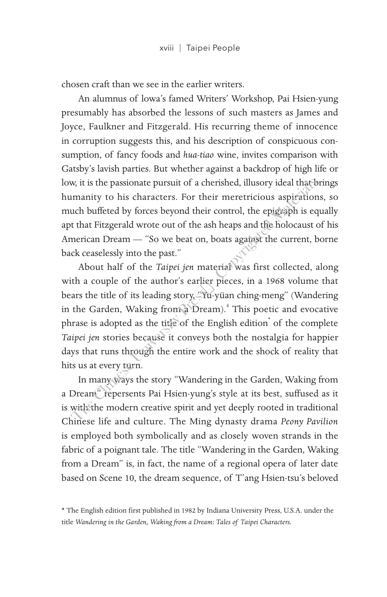chosen craft than we see in the earlier writers.

An alumnus of lowa's famed Writers' Workshop, Pai Hsien-yung presumably has absorbed the lessons of such masters as James and Joyce, Faulkner and Fitzgerald. His recurring theme of innocence in corruption suggests this, and his description of conspicuous consumption, of fancy foods and *hua-tiao* wine, invites comparison with Gatsby's lavish parties. But whether against a backdrop of high life or low, it is the passionate pursuit of a cherished, illusory ideal that brings humanity to his characters. For their meretricious aspirations, so much buffeted by forces beyond their control, the epigraph is equally apt that Fitzgerald wrote out of the ash heaps and the holocaust of his American Dream — "So we beat on, boats against the current, borne back ceaselessly into the past."

About half of the *Taipei jen* material was first collected, along with a couple of the author's earlier pieces, in a 1968 volume that bears the title of its leading story, "Yu-yüan ching-meng" (Wandering in the Garden, Waking from a Dream).<sup>4</sup> This poetic and evocative phrase is adopted as the title of the English edition<sup>\*</sup> of the complete *Taipei jen* stories because it conveys both the nostalgia for happier days that runs through the entire work and the shock of reality that hits us at every turn. w, it is the passionate pursuit of a cherished, illusory ideal that manity to his characters. For their meretricious aspiration<br>uch buffeted by forces beyond their control, the epigraph is ect that Fitzgerald wrote out of

In many ways the story "Wandering in the Garden, Waking from a Dream" repersents Pai Hsien-yung's style at its best, suffused as it is with the modern creative spirit and yet deeply rooted in traditional Chinese life and culture. The Ming dynasty drama *Peony Pavilion* is employed both symbolically and as closely woven strands in the fabric of a poignant tale. The title "Wandering in the Garden, Waking from a Dream" is, in fact, the name of a regional opera of later date based on Scene 10, the dream sequence, of T'ang Hsien-tsu's beloved

<sup>\*</sup> The English edition first published in 1982 by Indiana University Press, U.S.A. under the title *Wandering in the Garden, Waking from a Dream: Tales of Taipei Characters.*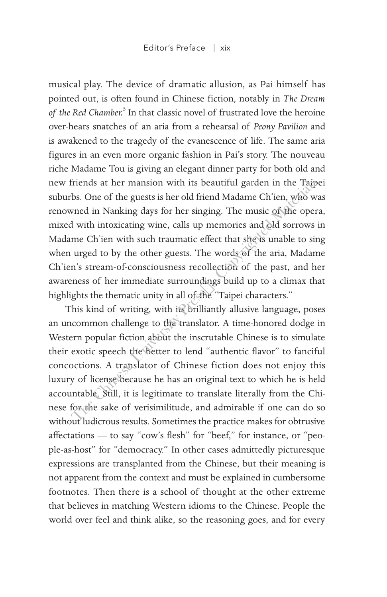musical play. The device of dramatic allusion, as Pai himself has pointed out, is often found in Chinese fiction, notably in *The Dream of the Red Chamber.*<sup>5</sup> In that classic novel of frustrated love the heroine over-hears snatches of an aria from a rehearsal of *Peony Pavilion* and is awakened to the tragedy of the evanescence of life. The same aria figures in an even more organic fashion in Pai's story. The nouveau riche Madame Tou is giving an elegant dinner party for both old and new friends at her mansion with its beautiful garden in the Taipei suburbs. One of the guests is her old friend Madame Ch'ien, who was renowned in Nanking days for her singing. The music of the opera, mixed with intoxicating wine, calls up memories and old sorrows in Madame Ch'ien with such traumatic effect that she is unable to sing when urged to by the other guests. The words of the aria, Madame Ch'ien's stream-of-consciousness recollection of the past, and her awareness of her immediate surroundings build up to a climax that highlights the thematic unity in all of the "Taipei characters." friends at her mansion with its beautiful garden in the Taip<br>bs. One of the guests is her old friend Madame Ch'ien, who w<br>oned in Nanking days for her singing. The music of the oper<br>l with intoxicating wine, calls up memor

This kind of writing, with its brilliantly allusive language, poses an uncommon challenge to the translator. A time-honored dodge in Western popular fiction about the inscrutable Chinese is to simulate their exotic speech the better to lend "authentic flavor" to fanciful concoctions. A translator of Chinese fiction does not enjoy this luxury of license because he has an original text to which he is held accountable. Still, it is legitimate to translate literally from the Chinese for the sake of verisimilitude, and admirable if one can do so without ludicrous results. Sometimes the practice makes for obtrusive affectations — to say "cow's flesh" for "beef," for instance, or "people-as-host" for "democracy." In other cases admittedly picturesque expressions are transplanted from the Chinese, but their meaning is not apparent from the context and must be explained in cumbersome footnotes. Then there is a school of thought at the other extreme that believes in matching Western idioms to the Chinese. People the world over feel and think alike, so the reasoning goes, and for every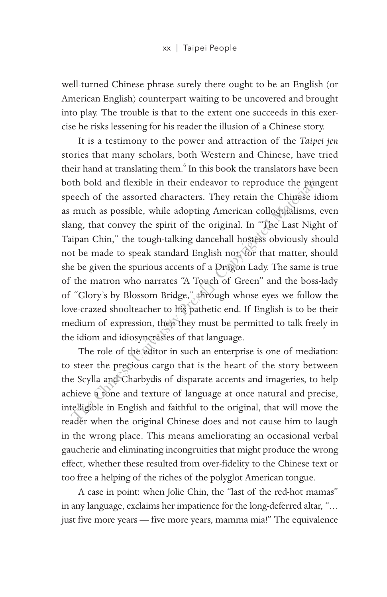well-turned Chinese phrase surely there ought to be an English (or American English) counterpart waiting to be uncovered and brought into play. The trouble is that to the extent one succeeds in this exercise he risks lessening for his reader the illusion of a Chinese story.

It is a testimony to the power and attraction of the *Taipei jen* stories that many scholars, both Western and Chinese, have tried their hand at translating them.<sup>6</sup> In this book the translators have been both bold and flexible in their endeavor to reproduce the pungent speech of the assorted characters. They retain the Chinese idiom as much as possible, while adopting American colloquialisms, even slang, that convey the spirit of the original. In "The Last Night of Taipan Chin," the tough-talking dancehall hostess obviously should not be made to speak standard English nor, for that matter, should she be given the spurious accents of a Dragon Lady. The same is true of the matron who narrates "A Touch of Green" and the boss-lady of "Glory's by Blossom Bridge," through whose eyes we follow the love-crazed shoolteacher to his pathetic end. If English is to be their medium of expression, then they must be permitted to talk freely in the idiom and idiosyncrasies of that language. th bold and flexible in their endeavor to reproduce the pare<br>eech of the assorted characters. They retain the Chinese i<br>much as possible, while adopting American collocytialisms,<br>mg, that convey the spirit of the original.

The role of the editor in such an enterprise is one of mediation: to steer the precious cargo that is the heart of the story between the Scylla and Charbydis of disparate accents and imageries, to help achieve a tone and texture of language at once natural and precise, intelligible in English and faithful to the original, that will move the reader when the original Chinese does and not cause him to laugh in the wrong place. This means ameliorating an occasional verbal gaucherie and eliminating incongruities that might produce the wrong effect, whether these resulted from over-fidelity to the Chinese text or too free a helping of the riches of the polyglot American tongue.

A case in point: when Jolie Chin, the "last of the red-hot mamas" in any language, exclaims her impatience for the long-deferred altar, "… just five more years — five more years, mamma mia!" The equivalence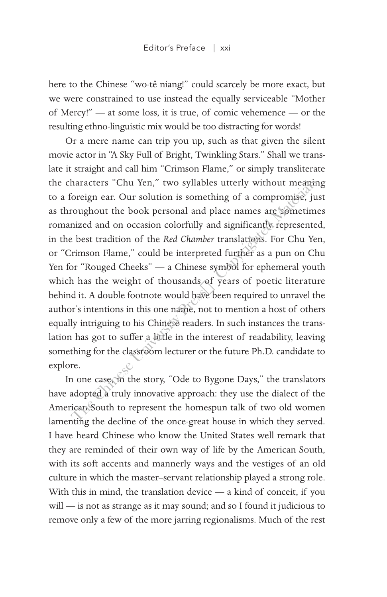here to the Chinese "wo-tê niang!" could scarcely be more exact, but we were constrained to use instead the equally serviceable "Mother of Mercy!" — at some loss, it is true, of comic vehemence — or the resulting ethno-linguistic mix would be too distracting for words!

Or a mere name can trip you up, such as that given the silent movie actor in "A Sky Full of Bright, Twinkling Stars." Shall we translate it straight and call him "Crimson Flame," or simply transliterate the characters "Chu Yen," two syllables utterly without meaning to a foreign ear. Our solution is something of a compromise, just as throughout the book personal and place names are sometimes romanized and on occasion colorfully and significantly represented, in the best tradition of the *Red Chamber* translations. For Chu Yen, or "Crimson Flame," could be interpreted further as a pun on Chu Yen for "Rouged Cheeks" — a Chinese symbol for ephemeral youth which has the weight of thousands of years of poetic literature behind it. A double footnote would have been required to unravel the author's intentions in this one name, not to mention a host of others equally intriguing to his Chinese readers. In such instances the translation has got to suffer a little in the interest of readability, leaving something for the classroom lecturer or the future Ph.D. candidate to explore. haracters "Chu Yen," two syllables utterly without mean<br>increasing of a compromise, jury and position is something of a compromise, jury<br>coughout the book personal and place names are sometim-<br>inized and on occasion color

In one case, in the story, "Ode to Bygone Days," the translators have adopted a truly innovative approach: they use the dialect of the American South to represent the homespun talk of two old women lamenting the decline of the once-great house in which they served. I have heard Chinese who know the United States well remark that they are reminded of their own way of life by the American South, with its soft accents and mannerly ways and the vestiges of an old culture in which the master–servant relationship played a strong role. With this in mind, the translation device — a kind of conceit, if you will — is not as strange as it may sound; and so I found it judicious to remove only a few of the more jarring regionalisms. Much of the rest